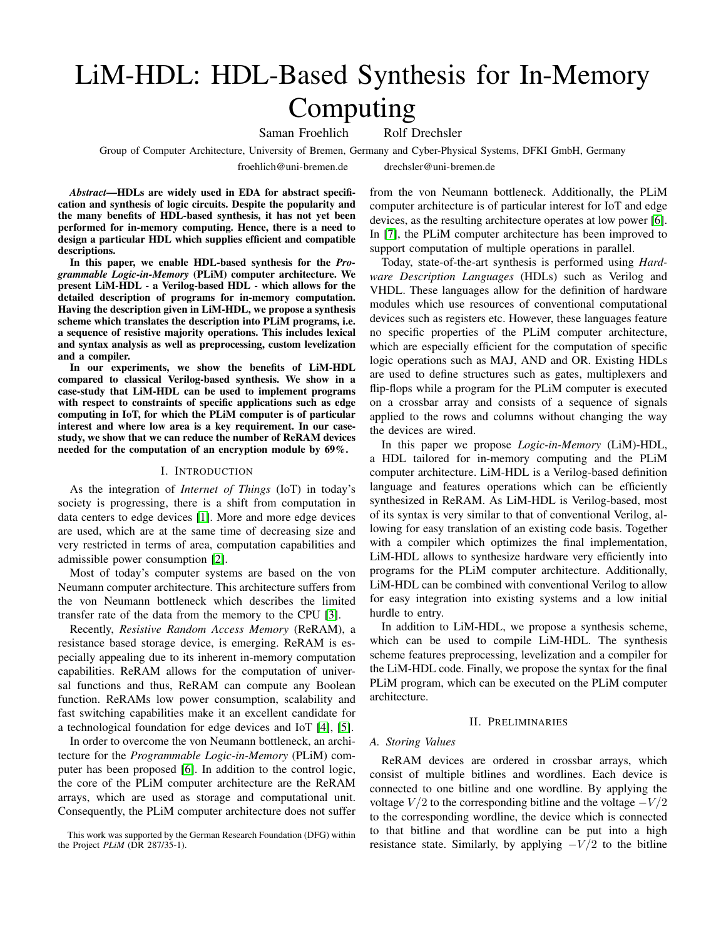# LiM-HDL: HDL-Based Synthesis for In-Memory Computing

Saman Froehlich Rolf Drechsler

Group of Computer Architecture, University of Bremen, Germany and Cyber-Physical Systems, DFKI GmbH, Germany

froehlich@uni-bremen.de drechsler@uni-bremen.de

*Abstract*—HDLs are widely used in EDA for abstract specification and synthesis of logic circuits. Despite the popularity and the many benefits of HDL-based synthesis, it has not yet been performed for in-memory computing. Hence, there is a need to design a particular HDL which supplies efficient and compatible descriptions.

In this paper, we enable HDL-based synthesis for the *Programmable Logic-in-Memory* (PLiM) computer architecture. We present LiM-HDL - a Verilog-based HDL - which allows for the detailed description of programs for in-memory computation. Having the description given in LiM-HDL, we propose a synthesis scheme which translates the description into PLiM programs, i.e. a sequence of resistive majority operations. This includes lexical and syntax analysis as well as preprocessing, custom levelization and a compiler.

In our experiments, we show the benefits of LiM-HDL compared to classical Verilog-based synthesis. We show in a case-study that LiM-HDL can be used to implement programs with respect to constraints of specific applications such as edge computing in IoT, for which the PLiM computer is of particular interest and where low area is a key requirement. In our casestudy, we show that we can reduce the number of ReRAM devices needed for the computation of an encryption module by 69%.

#### I. INTRODUCTION

As the integration of *Internet of Things* (IoT) in today's society is progressing, there is a shift from computation in data centers to edge devices [\[1\]](#page-5-0). More and more edge devices are used, which are at the same time of decreasing size and very restricted in terms of area, computation capabilities and admissible power consumption [\[2\]](#page-5-1).

Most of today's computer systems are based on the von Neumann computer architecture. This architecture suffers from the von Neumann bottleneck which describes the limited transfer rate of the data from the memory to the CPU [\[3\]](#page-5-2).

Recently, *Resistive Random Access Memory* (ReRAM), a resistance based storage device, is emerging. ReRAM is especially appealing due to its inherent in-memory computation capabilities. ReRAM allows for the computation of universal functions and thus, ReRAM can compute any Boolean function. ReRAMs low power consumption, scalability and fast switching capabilities make it an excellent candidate for a technological foundation for edge devices and IoT [\[4\]](#page-5-3), [\[5\]](#page-5-4).

In order to overcome the von Neumann bottleneck, an architecture for the *Programmable Logic-in-Memory* (PLiM) computer has been proposed [\[6\]](#page-5-5). In addition to the control logic, the core of the PLiM computer architecture are the ReRAM arrays, which are used as storage and computational unit. Consequently, the PLiM computer architecture does not suffer

This work was supported by the German Research Foundation (DFG) within the Project *PLiM* (DR 287/35-1).

from the von Neumann bottleneck. Additionally, the PLiM computer architecture is of particular interest for IoT and edge devices, as the resulting architecture operates at low power [\[6\]](#page-5-5). In [\[7\]](#page-5-6), the PLiM computer architecture has been improved to support computation of multiple operations in parallel.

Today, state-of-the-art synthesis is performed using *Hardware Description Languages* (HDLs) such as Verilog and VHDL. These languages allow for the definition of hardware modules which use resources of conventional computational devices such as registers etc. However, these languages feature no specific properties of the PLiM computer architecture, which are especially efficient for the computation of specific logic operations such as MAJ, AND and OR. Existing HDLs are used to define structures such as gates, multiplexers and flip-flops while a program for the PLiM computer is executed on a crossbar array and consists of a sequence of signals applied to the rows and columns without changing the way the devices are wired.

In this paper we propose *Logic-in-Memory* (LiM)-HDL, a HDL tailored for in-memory computing and the PLiM computer architecture. LiM-HDL is a Verilog-based definition language and features operations which can be efficiently synthesized in ReRAM. As LiM-HDL is Verilog-based, most of its syntax is very similar to that of conventional Verilog, allowing for easy translation of an existing code basis. Together with a compiler which optimizes the final implementation, LiM-HDL allows to synthesize hardware very efficiently into programs for the PLiM computer architecture. Additionally, LiM-HDL can be combined with conventional Verilog to allow for easy integration into existing systems and a low initial hurdle to entry.

In addition to LiM-HDL, we propose a synthesis scheme, which can be used to compile LiM-HDL. The synthesis scheme features preprocessing, levelization and a compiler for the LiM-HDL code. Finally, we propose the syntax for the final PLiM program, which can be executed on the PLiM computer architecture.

## II. PRELIMINARIES

# *A. Storing Values*

ReRAM devices are ordered in crossbar arrays, which consist of multiple bitlines and wordlines. Each device is connected to one bitline and one wordline. By applying the voltage  $V/2$  to the corresponding bitline and the voltage  $-V/2$ to the corresponding wordline, the device which is connected to that bitline and that wordline can be put into a high resistance state. Similarly, by applying  $-V/2$  to the bitline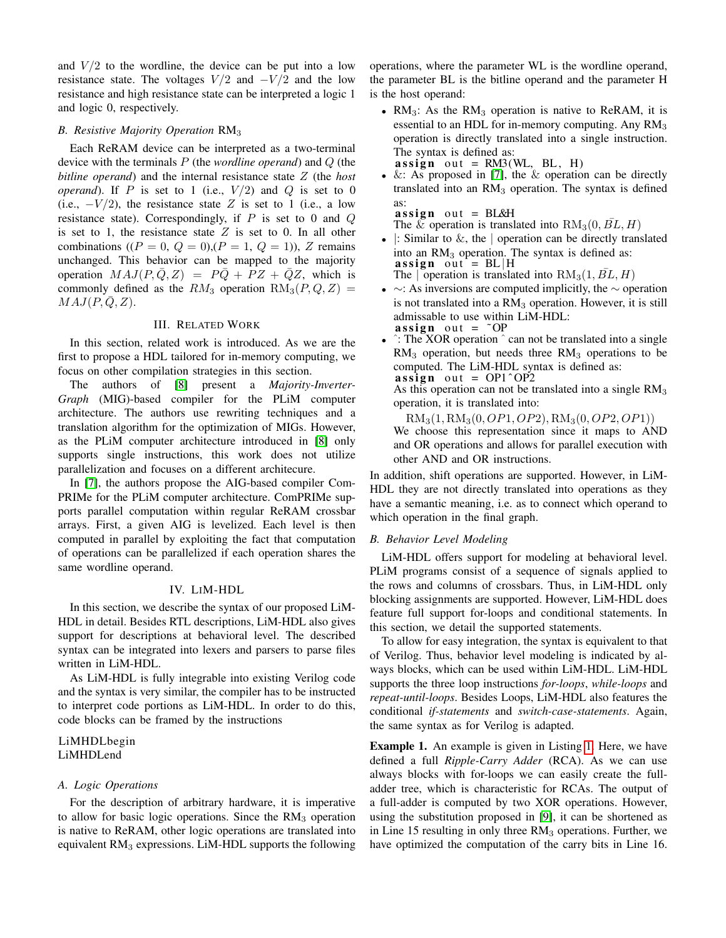and  $V/2$  to the wordline, the device can be put into a low resistance state. The voltages  $V/2$  and  $-V/2$  and the low resistance and high resistance state can be interpreted a logic 1 and logic 0, respectively.

#### *B. Resistive Majority Operation* RM<sup>3</sup>

Each ReRAM device can be interpreted as a two-terminal device with the terminals P (the *wordline operand*) and Q (the *bitline operand*) and the internal resistance state Z (the *host operand*). If P is set to 1 (i.e.,  $V/2$ ) and Q is set to 0 (i.e.,  $-V/2$ ), the resistance state Z is set to 1 (i.e., a low resistance state). Correspondingly, if  $P$  is set to 0 and  $Q$ is set to 1, the resistance state  $Z$  is set to 0. In all other combinations  $((P = 0, Q = 0), (P = 1, Q = 1))$ , Z remains unchanged. This behavior can be mapped to the majority operation  $MAJ(P, \overline{Q}, Z) = P\overline{Q} + PZ + \overline{Q}Z$ , which is commonly defined as the  $RM_3$  operation  $RM_3(P,Q,Z)$  $MAJ(P,Q,Z)$ .

# III. RELATED WORK

In this section, related work is introduced. As we are the first to propose a HDL tailored for in-memory computing, we focus on other compilation strategies in this section.

The authors of [\[8\]](#page-5-7) present a *Majority-Inverter-Graph* (MIG)-based compiler for the PLiM computer architecture. The authors use rewriting techniques and a translation algorithm for the optimization of MIGs. However, as the PLiM computer architecture introduced in [\[8\]](#page-5-7) only supports single instructions, this work does not utilize parallelization and focuses on a different architecure.

In [\[7\]](#page-5-6), the authors propose the AIG-based compiler Com-PRIMe for the PLiM computer architecture. ComPRIMe supports parallel computation within regular ReRAM crossbar arrays. First, a given AIG is levelized. Each level is then computed in parallel by exploiting the fact that computation of operations can be parallelized if each operation shares the same wordline operand.

## IV. LIM-HDL

<span id="page-1-1"></span>In this section, we describe the syntax of our proposed LiM-HDL in detail. Besides RTL descriptions, LiM-HDL also gives support for descriptions at behavioral level. The described syntax can be integrated into lexers and parsers to parse files written in LiM-HDL.

As LiM-HDL is fully integrable into existing Verilog code and the syntax is very similar, the compiler has to be instructed to interpret code portions as LiM-HDL. In order to do this, code blocks can be framed by the instructions

# LiMHDLbegin LiMHDLend

#### *A. Logic Operations*

For the description of arbitrary hardware, it is imperative to allow for basic logic operations. Since the  $RM<sub>3</sub>$  operation is native to ReRAM, other logic operations are translated into equivalent  $RM<sub>3</sub>$  expressions. LiM-HDL supports the following

operations, where the parameter WL is the wordline operand, the parameter BL is the bitline operand and the parameter H is the host operand:

- $RM<sub>3</sub>$ : As the  $RM<sub>3</sub>$  operation is native to ReRAM, it is essential to an HDL for in-memory computing. Any  $RM<sub>3</sub>$ operation is directly translated into a single instruction. The syntax is defined as:  $\textbf{assign} \text{ out } = \text{RM3(WL, BL, H)}$
- $&$ : As proposed in [\[7\]](#page-5-6), the  $&$  operation can be directly translated into an  $RM<sub>3</sub>$  operation. The syntax is defined as:

 $\textbf{assign}$  out = BL&H The  $\&$  operation is translated into  $RM_3(0, BL, H)$ 

- $\vert$ : Similar to  $\&$ , the  $\vert$  operation can be directly translated into an  $RM<sub>3</sub>$  operation. The syntax is defined as: assign out =  $BL/H$ The | operation is translated into  $RM_3(1, BL, H)$
- $\sim$ : As inversions are computed implicitly, the  $\sim$  operation is not translated into a  $RM<sub>3</sub>$  operation. However, it is still admissable to use within LiM-HDL: assign out  $=$   $\tilde{O}$ P
- ˆ: The XOR operation ˆ can not be translated into a single  $RM<sub>3</sub>$  operation, but needs three  $RM<sub>3</sub>$  operations to be computed. The LiM-HDL syntax is defined as: assign out =  $OP1^{\circ}OP2$

As this operation can not be translated into a single  $RM<sub>3</sub>$ operation, it is translated into:

 $RM<sub>3</sub>(1, RM<sub>3</sub>(0, *OP*1, *OP*2), RM<sub>3</sub>(0, *OP*2, *OP*1))$ 

We choose this representation since it maps to AND and OR operations and allows for parallel execution with other AND and OR instructions.

In addition, shift operations are supported. However, in LiM-HDL they are not directly translated into operations as they have a semantic meaning, i.e. as to connect which operand to which operation in the final graph.

#### <span id="page-1-0"></span>*B. Behavior Level Modeling*

LiM-HDL offers support for modeling at behavioral level. PLiM programs consist of a sequence of signals applied to the rows and columns of crossbars. Thus, in LiM-HDL only blocking assignments are supported. However, LiM-HDL does feature full support for-loops and conditional statements. In this section, we detail the supported statements.

To allow for easy integration, the syntax is equivalent to that of Verilog. Thus, behavior level modeling is indicated by always blocks, which can be used within LiM-HDL. LiM-HDL supports the three loop instructions *for-loops*, *while-loops* and *repeat-until-loops*. Besides Loops, LiM-HDL also features the conditional *if-statements* and *switch-case-statements*. Again, the same syntax as for Verilog is adapted.

Example 1. An example is given in Listing [1.](#page-2-0) Here, we have defined a full *Ripple-Carry Adder* (RCA). As we can use always blocks with for-loops we can easily create the fulladder tree, which is characteristic for RCAs. The output of a full-adder is computed by two XOR operations. However, using the substitution proposed in [\[9\]](#page-5-8), it can be shortened as in Line 15 resulting in only three  $RM<sub>3</sub>$  operations. Further, we have optimized the computation of the carry bits in Line 16.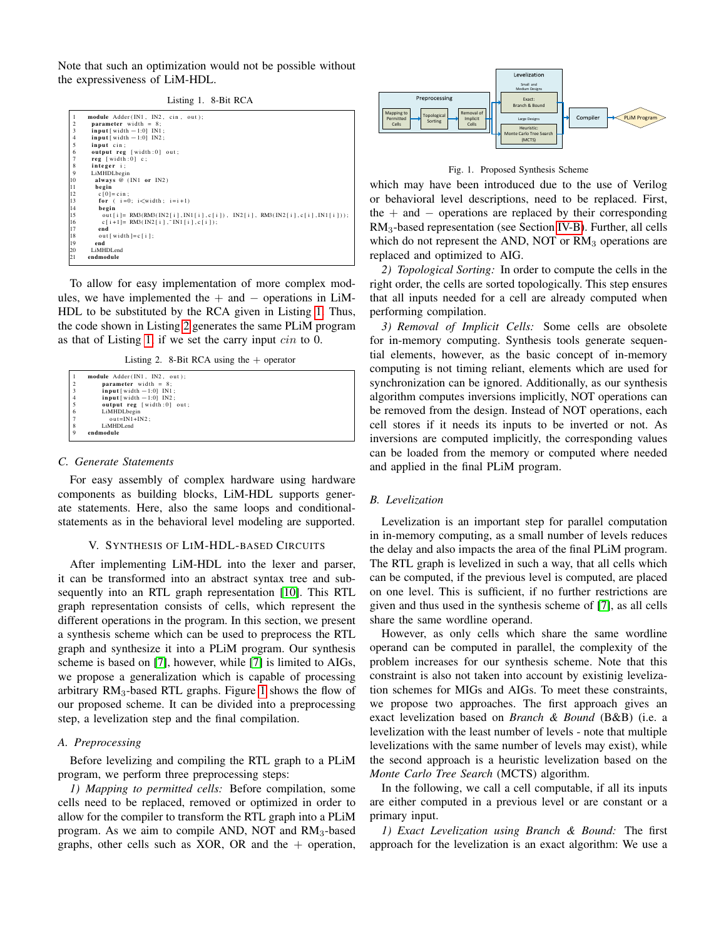Note that such an optimization would not be possible without the expressiveness of LiM-HDL.

<span id="page-2-0"></span>

| $\mathbf{1}$   | module Adder(IN1, IN2, cin, out);                                           |
|----------------|-----------------------------------------------------------------------------|
| $\overline{2}$ | parameter width $= 8$ ;                                                     |
| 3              | $input[width-1:0] IN1;$                                                     |
| $\overline{4}$ | $input[width-1:0] IN2;$                                                     |
| 5              | input cin:                                                                  |
| 6              | output reg [width:0] out;                                                   |
| $\overline{7}$ | $reg$ [width:0] $c$ ;                                                       |
| 8              | integer i;                                                                  |
| 9              | LiMHDLbegin                                                                 |
| 10             | always $@$ (IN1 or IN2)                                                     |
| 11             | begin                                                                       |
| 12             | $c[0] = cin$ ;                                                              |
| 13             | for $(i=0; i\le width; i=i+1)$                                              |
| 14             | begin                                                                       |
| 15             | out [i]= RM3(RM3(IN2[i], IN1[i], c[i]), IN2[i], RM3(IN2[i], c[i], IN1[i])); |
| 16             | $c[i+1] = RM3(IN2[i], "IN1[i], c[i]),$                                      |
| 17             | end                                                                         |
| 18             | out [width $]=c$ [i];                                                       |
| 19             | end                                                                         |
| 20             | LiMHDLend                                                                   |
| 21             | endmodule                                                                   |

To allow for easy implementation of more complex modules, we have implemented the  $+$  and  $-$  operations in LiM-HDL to be substituted by the RCA given in Listing [1.](#page-2-0) Thus, the code shown in Listing [2](#page-2-1) generates the same PLiM program as that of Listing [1,](#page-2-0) if we set the carry input cin to 0.

Listing 2. 8-Bit RCA using the  $+$  operator

```
1 module Adder (IN1, IN2, out);<br>2 parameter width = 8;<br>input [ width −1:0] IN1;<br>4 input [ width −1:0] IN2;
                output reg [width:0] out;<br>LiMHDLhesin
6 LiMHDLbegin
7 o ut =IN1+IN2 ;
                LiMHDLend
        endmodule
```
#### *C. Generate Statements*

For easy assembly of complex hardware using hardware components as building blocks, LiM-HDL supports generate statements. Here, also the same loops and conditionalstatements as in the behavioral level modeling are supported.

## V. SYNTHESIS OF LIM-HDL-BASED CIRCUITS

After implementing LiM-HDL into the lexer and parser, it can be transformed into an abstract syntax tree and subsequently into an RTL graph representation [\[10\]](#page-5-9). This RTL graph representation consists of cells, which represent the different operations in the program. In this section, we present a synthesis scheme which can be used to preprocess the RTL graph and synthesize it into a PLiM program. Our synthesis scheme is based on [\[7\]](#page-5-6), however, while [\[7\]](#page-5-6) is limited to AIGs, we propose a generalization which is capable of processing arbitrary  $RM_3$ -based RTL graphs. Figure [1](#page-2-2) shows the flow of our proposed scheme. It can be divided into a preprocessing step, a levelization step and the final compilation.

#### *A. Preprocessing*

Before levelizing and compiling the RTL graph to a PLiM program, we perform three preprocessing steps:

*1) Mapping to permitted cells:* Before compilation, some cells need to be replaced, removed or optimized in order to allow for the compiler to transform the RTL graph into a PLiM program. As we aim to compile AND, NOT and  $RM<sub>3</sub>$ -based graphs, other cells such as XOR, OR and the  $+$  operation,



<span id="page-2-2"></span>Fig. 1. Proposed Synthesis Scheme

which may have been introduced due to the use of Verilog or behavioral level descriptions, need to be replaced. First, the  $+$  and  $-$  operations are replaced by their corresponding RM3-based representation (see Section [IV-B\)](#page-1-0). Further, all cells which do not represent the AND, NOT or  $RM<sub>3</sub>$  operations are replaced and optimized to AIG.

*2) Topological Sorting:* In order to compute the cells in the right order, the cells are sorted topologically. This step ensures that all inputs needed for a cell are already computed when performing compilation.

*3) Removal of Implicit Cells:* Some cells are obsolete for in-memory computing. Synthesis tools generate sequential elements, however, as the basic concept of in-memory computing is not timing reliant, elements which are used for synchronization can be ignored. Additionally, as our synthesis algorithm computes inversions implicitly, NOT operations can be removed from the design. Instead of NOT operations, each cell stores if it needs its inputs to be inverted or not. As inversions are computed implicitly, the corresponding values can be loaded from the memory or computed where needed and applied in the final PLiM program.

## *B. Levelization*

Levelization is an important step for parallel computation in in-memory computing, as a small number of levels reduces the delay and also impacts the area of the final PLiM program. The RTL graph is levelized in such a way, that all cells which can be computed, if the previous level is computed, are placed on one level. This is sufficient, if no further restrictions are given and thus used in the synthesis scheme of [\[7\]](#page-5-6), as all cells share the same wordline operand.

However, as only cells which share the same wordline operand can be computed in parallel, the complexity of the problem increases for our synthesis scheme. Note that this constraint is also not taken into account by existinig levelization schemes for MIGs and AIGs. To meet these constraints, we propose two approaches. The first approach gives an exact levelization based on *Branch & Bound* (B&B) (i.e. a levelization with the least number of levels - note that multiple levelizations with the same number of levels may exist), while the second approach is a heuristic levelization based on the *Monte Carlo Tree Search* (MCTS) algorithm.

In the following, we call a cell computable, if all its inputs are either computed in a previous level or are constant or a primary input.

*1) Exact Levelization using Branch & Bound:* The first approach for the levelization is an exact algorithm: We use a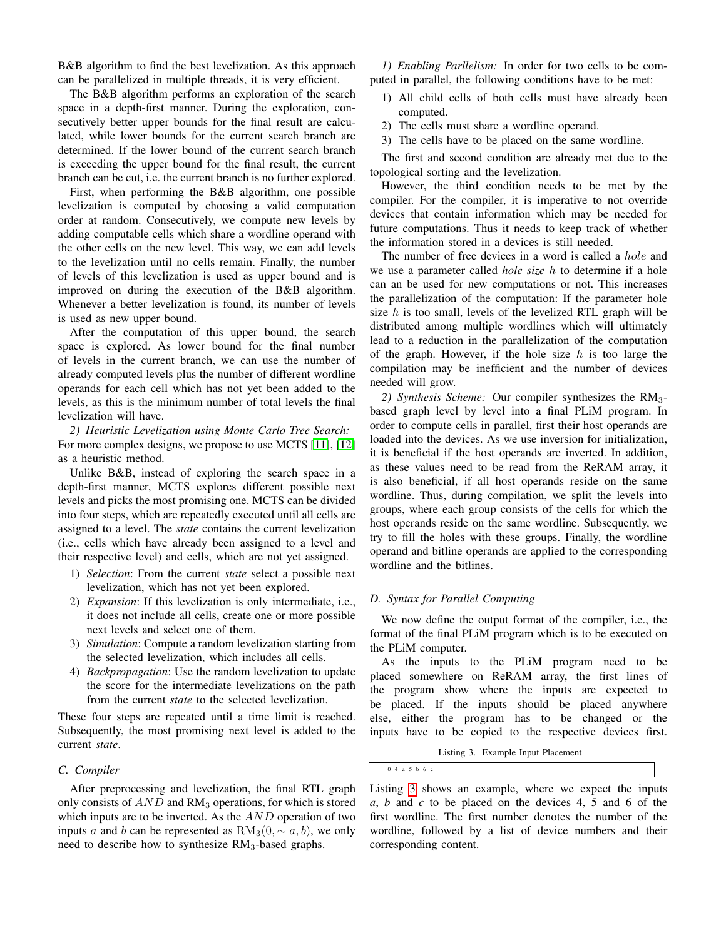B&B algorithm to find the best levelization. As this approach can be parallelized in multiple threads, it is very efficient.

The B&B algorithm performs an exploration of the search space in a depth-first manner. During the exploration, consecutively better upper bounds for the final result are calculated, while lower bounds for the current search branch are determined. If the lower bound of the current search branch is exceeding the upper bound for the final result, the current branch can be cut, i.e. the current branch is no further explored.

First, when performing the B&B algorithm, one possible levelization is computed by choosing a valid computation order at random. Consecutively, we compute new levels by adding computable cells which share a wordline operand with the other cells on the new level. This way, we can add levels to the levelization until no cells remain. Finally, the number of levels of this levelization is used as upper bound and is improved on during the execution of the B&B algorithm. Whenever a better levelization is found, its number of levels is used as new upper bound.

After the computation of this upper bound, the search space is explored. As lower bound for the final number of levels in the current branch, we can use the number of already computed levels plus the number of different wordline operands for each cell which has not yet been added to the levels, as this is the minimum number of total levels the final levelization will have.

*2) Heuristic Levelization using Monte Carlo Tree Search:* For more complex designs, we propose to use MCTS [\[11\]](#page-5-10), [\[12\]](#page-5-11) as a heuristic method.

Unlike B&B, instead of exploring the search space in a depth-first manner, MCTS explores different possible next levels and picks the most promising one. MCTS can be divided into four steps, which are repeatedly executed until all cells are assigned to a level. The *state* contains the current levelization (i.e., cells which have already been assigned to a level and their respective level) and cells, which are not yet assigned.

- 1) *Selection*: From the current *state* select a possible next levelization, which has not yet been explored.
- 2) *Expansion*: If this levelization is only intermediate, i.e., it does not include all cells, create one or more possible next levels and select one of them.
- 3) *Simulation*: Compute a random levelization starting from the selected levelization, which includes all cells.
- 4) *Backpropagation*: Use the random levelization to update the score for the intermediate levelizations on the path from the current *state* to the selected levelization.

These four steps are repeated until a time limit is reached. Subsequently, the most promising next level is added to the current *state*.

# *C. Compiler*

After preprocessing and levelization, the final RTL graph only consists of  $AND$  and  $RM<sub>3</sub>$  operations, for which is stored which inputs are to be inverted. As the  $AND$  operation of two inputs a and b can be represented as  $RM_3(0, \sim a, b)$ , we only need to describe how to synthesize  $RM<sub>3</sub>$ -based graphs.

*1) Enabling Parllelism:* In order for two cells to be computed in parallel, the following conditions have to be met:

- 1) All child cells of both cells must have already been computed.
- 2) The cells must share a wordline operand.
- 3) The cells have to be placed on the same wordline.

The first and second condition are already met due to the topological sorting and the levelization.

However, the third condition needs to be met by the compiler. For the compiler, it is imperative to not override devices that contain information which may be needed for future computations. Thus it needs to keep track of whether the information stored in a devices is still needed.

The number of free devices in a word is called a *hole* and we use a parameter called *hole size* h to determine if a hole can an be used for new computations or not. This increases the parallelization of the computation: If the parameter hole size  $h$  is too small, levels of the levelized RTL graph will be distributed among multiple wordlines which will ultimately lead to a reduction in the parallelization of the computation of the graph. However, if the hole size  $h$  is too large the compilation may be inefficient and the number of devices needed will grow.

*2) Synthesis Scheme:* Our compiler synthesizes the RM3 based graph level by level into a final PLiM program. In order to compute cells in parallel, first their host operands are loaded into the devices. As we use inversion for initialization, it is beneficial if the host operands are inverted. In addition, as these values need to be read from the ReRAM array, it is also beneficial, if all host operands reside on the same wordline. Thus, during compilation, we split the levels into groups, where each group consists of the cells for which the host operands reside on the same wordline. Subsequently, we try to fill the holes with these groups. Finally, the wordline operand and bitline operands are applied to the corresponding wordline and the bitlines.

# *D. Syntax for Parallel Computing*

We now define the output format of the compiler, i.e., the format of the final PLiM program which is to be executed on the PLiM computer.

As the inputs to the PLiM program need to be placed somewhere on ReRAM array, the first lines of the program show where the inputs are expected to be placed. If the inputs should be placed anywhere else, either the program has to be changed or the inputs have to be copied to the respective devices first.

Listing 3. Example Input Placement

<span id="page-3-0"></span>0 4 a 5 b 6 c

Listing [3](#page-3-0) shows an example, where we expect the inputs *a*, *b* and *c* to be placed on the devices 4, 5 and 6 of the first wordline. The first number denotes the number of the wordline, followed by a list of device numbers and their corresponding content.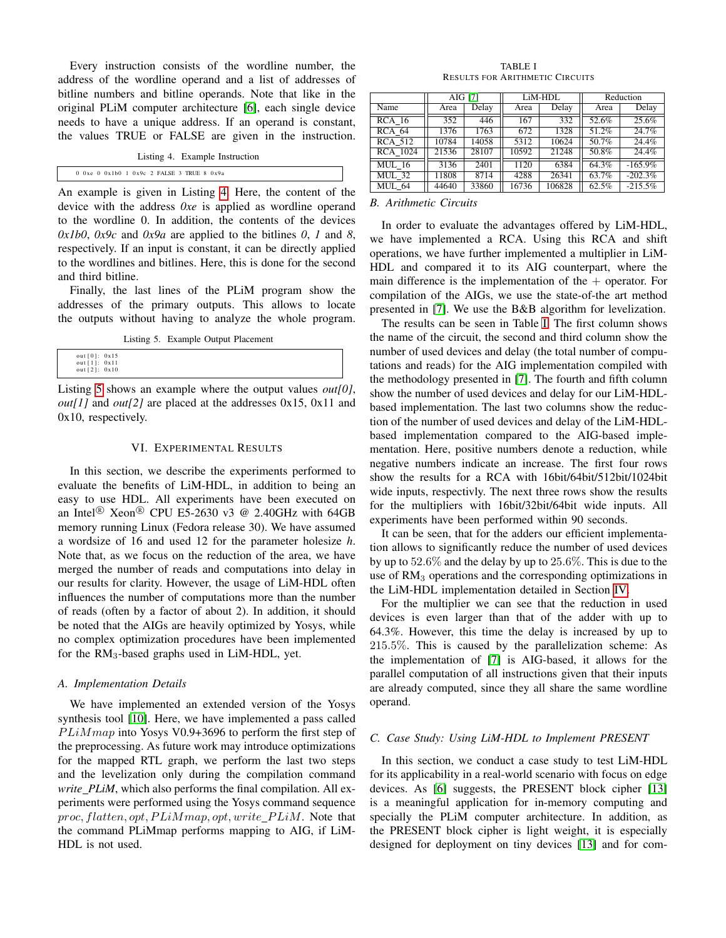Every instruction consists of the wordline number, the address of the wordline operand and a list of addresses of bitline numbers and bitline operands. Note that like in the original PLiM computer architecture [\[6\]](#page-5-5), each single device needs to have a unique address. If an operand is constant, the values TRUE or FALSE are given in the instruction.

<span id="page-4-0"></span>

|                                                | Listing 4. Example Instruction |
|------------------------------------------------|--------------------------------|
| $0$ 0xe $0$ 0x1b0 1 0x9c 2 FALSE 3 TRUE 8 0x9a |                                |

An example is given in Listing [4.](#page-4-0) Here, the content of the device with the address *0xe* is applied as wordline operand to the wordline 0. In addition, the contents of the devices *0x1b0*, *0x9c* and *0x9a* are applied to the bitlines *0*, *1* and *8*, respectively. If an input is constant, it can be directly applied to the wordlines and bitlines. Here, this is done for the second and third bitline.

Finally, the last lines of the PLiM program show the addresses of the primary outputs. This allows to locate the outputs without having to analyze the whole program.

Listing 5. Example Output Placement

<span id="page-4-1"></span>

| out[1]: 0x11<br>out [2]: 0x10 |
|-------------------------------|
|-------------------------------|

Listing [5](#page-4-1) shows an example where the output values *out[0]*, *out[1]* and *out[2]* are placed at the addresses 0x15, 0x11 and 0x10, respectively.

# VI. EXPERIMENTAL RESULTS

In this section, we describe the experiments performed to evaluate the benefits of LiM-HDL, in addition to being an easy to use HDL. All experiments have been executed on an Intel<sup>®</sup> Xeon<sup>®</sup> CPU E5-2630 v3 @ 2.40GHz with 64GB memory running Linux (Fedora release 30). We have assumed a wordsize of 16 and used 12 for the parameter holesize *h*. Note that, as we focus on the reduction of the area, we have merged the number of reads and computations into delay in our results for clarity. However, the usage of LiM-HDL often influences the number of computations more than the number of reads (often by a factor of about 2). In addition, it should be noted that the AIGs are heavily optimized by Yosys, while no complex optimization procedures have been implemented for the RM3-based graphs used in LiM-HDL, yet.

#### *A. Implementation Details*

We have implemented an extended version of the Yosys synthesis tool [\[10\]](#page-5-9). Here, we have implemented a pass called  $PLiMmap$  into Yosys V0.9+3696 to perform the first step of the preprocessing. As future work may introduce optimizations for the mapped RTL graph, we perform the last two steps and the levelization only during the compilation command *write PLiM*, which also performs the final compilation. All experiments were performed using the Yosys command sequence proc, flatten, opt,  $PLiMmap$ , opt, write  $PLiM$ . Note that the command PLiMmap performs mapping to AIG, if LiM-HDL is not used.

TABLE I RESULTS FOR ARITHMETIC CIRCUITS

<span id="page-4-2"></span>

|                 | AIG [7] |       | LiM-HDL |        | Reduction |            |
|-----------------|---------|-------|---------|--------|-----------|------------|
| Name            | Area    | Delay | Area    | Delay  | Area      | Delay      |
| <b>RCA 16</b>   | 352     | 446   | 167     | 332    | 52.6%     | 25.6%      |
| <b>RCA 64</b>   | 1376    | 1763  | 672     | 1328   | 51.2%     | 24.7%      |
| <b>RCA 512</b>  | 10784   | 14058 | 5312    | 10624  | 50.7%     | 24.4%      |
| <b>RCA 1024</b> | 21536   | 28107 | 10592   | 21248  | 50.8%     | 24.4%      |
| <b>MUL</b> 16   | 3136    | 2401  | 1120    | 6384   | 64.3%     | $-165.9\%$ |
| <b>MUL 32</b>   | 11808   | 8714  | 4288    | 26341  | 63.7%     | $-202.3%$  |
| <b>MUL 64</b>   | 44640   | 33860 | 16736   | 106828 | 62.5%     | $-215.5%$  |

#### *B. Arithmetic Circuits*

In order to evaluate the advantages offered by LiM-HDL, we have implemented a RCA. Using this RCA and shift operations, we have further implemented a multiplier in LiM-HDL and compared it to its AIG counterpart, where the main difference is the implementation of the  $+$  operator. For compilation of the AIGs, we use the state-of-the art method presented in [\[7\]](#page-5-6). We use the B&B algorithm for levelization.

The results can be seen in Table [I.](#page-4-2) The first column shows the name of the circuit, the second and third column show the number of used devices and delay (the total number of computations and reads) for the AIG implementation compiled with the methodology presented in [\[7\]](#page-5-6). The fourth and fifth column show the number of used devices and delay for our LiM-HDLbased implementation. The last two columns show the reduction of the number of used devices and delay of the LiM-HDLbased implementation compared to the AIG-based implementation. Here, positive numbers denote a reduction, while negative numbers indicate an increase. The first four rows show the results for a RCA with 16bit/64bit/512bit/1024bit wide inputs, respectivly. The next three rows show the results for the multipliers with 16bit/32bit/64bit wide inputs. All experiments have been performed within 90 seconds.

It can be seen, that for the adders our efficient implementation allows to significantly reduce the number of used devices by up to 52.6% and the delay by up to 25.6%. This is due to the use of  $RM<sub>3</sub>$  operations and the corresponding optimizations in the LiM-HDL implementation detailed in Section [IV.](#page-1-1)

For the multiplier we can see that the reduction in used devices is even larger than that of the adder with up to 64.3%. However, this time the delay is increased by up to 215.5%. This is caused by the parallelization scheme: As the implementation of [\[7\]](#page-5-6) is AIG-based, it allows for the parallel computation of all instructions given that their inputs are already computed, since they all share the same wordline operand.

#### *C. Case Study: Using LiM-HDL to Implement PRESENT*

In this section, we conduct a case study to test LiM-HDL for its applicability in a real-world scenario with focus on edge devices. As [\[6\]](#page-5-5) suggests, the PRESENT block cipher [\[13\]](#page-5-12) is a meaningful application for in-memory computing and specially the PLiM computer architecture. In addition, as the PRESENT block cipher is light weight, it is especially designed for deployment on tiny devices [\[13\]](#page-5-12) and for com-